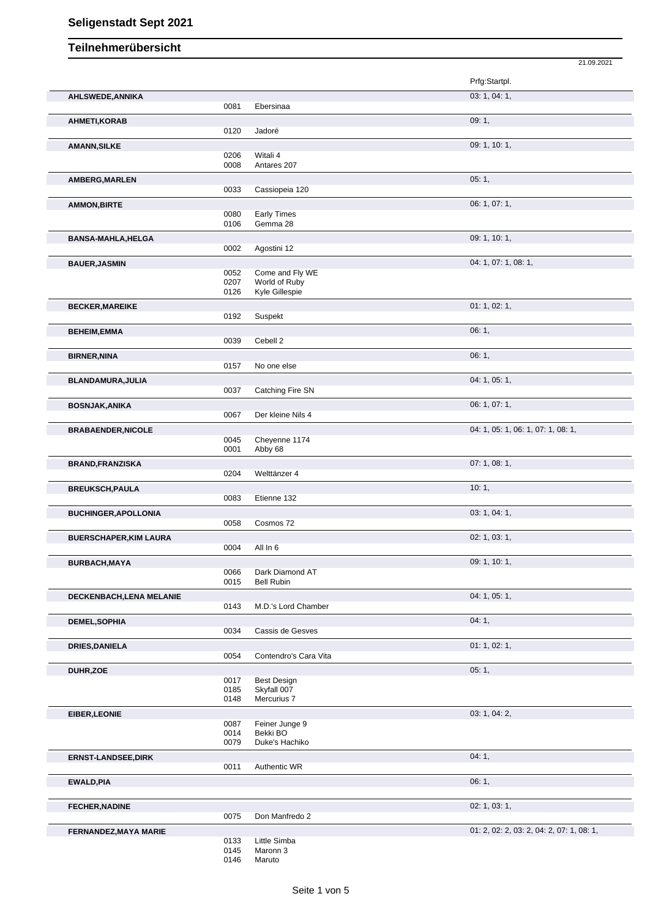|                               |      |                       | 21.09.2021                                |
|-------------------------------|------|-----------------------|-------------------------------------------|
|                               |      |                       | Prfg:Startpl.                             |
| AHLSWEDE, ANNIKA              |      |                       | 03: 1, 04: 1,                             |
|                               | 0081 | Ebersinaa             |                                           |
| AHMETI, KORAB                 |      |                       | 09:1,                                     |
|                               | 0120 | Jadoré                |                                           |
| <b>AMANN, SILKE</b>           |      |                       | 09: 1, 10: 1,                             |
|                               | 0206 | Witali 4              |                                           |
|                               | 0008 | Antares 207           |                                           |
| AMBERG, MARLEN                |      |                       | 05:1,                                     |
|                               | 0033 | Cassiopeia 120        |                                           |
| <b>AMMON, BIRTE</b>           |      |                       | 06: 1, 07: 1,                             |
|                               | 0080 | Early Times           |                                           |
|                               | 0106 | Gemma 28              |                                           |
| <b>BANSA-MAHLA, HELGA</b>     |      |                       | 09: 1, 10: 1,                             |
|                               | 0002 | Agostini 12           |                                           |
| <b>BAUER, JASMIN</b>          |      |                       | 04: 1, 07: 1, 08: 1,                      |
|                               | 0052 | Come and Fly WE       |                                           |
|                               | 0207 | World of Ruby         |                                           |
|                               | 0126 | Kyle Gillespie        |                                           |
| <b>BECKER, MAREIKE</b>        |      |                       | 01: 1, 02: 1,                             |
|                               | 0192 | Suspekt               |                                           |
| <b>BEHEIM,EMMA</b>            |      |                       | 06:1,                                     |
|                               | 0039 | Cebell 2              |                                           |
| <b>BIRNER, NINA</b>           |      |                       | 06:1,                                     |
|                               | 0157 | No one else           |                                           |
| BLANDAMURA, JULIA             |      |                       | 04: 1, 05: 1,                             |
|                               | 0037 | Catching Fire SN      |                                           |
| <b>BOSNJAK, ANIKA</b>         |      |                       | 06: 1, 07: 1,                             |
|                               | 0067 | Der kleine Nils 4     |                                           |
| <b>BRABAENDER, NICOLE</b>     |      |                       | 04: 1, 05: 1, 06: 1, 07: 1, 08: 1,        |
|                               | 0045 | Cheyenne 1174         |                                           |
|                               | 0001 | Abby 68               |                                           |
| <b>BRAND, FRANZISKA</b>       |      |                       | 07:1,08:1,                                |
|                               | 0204 | Welttänzer 4          |                                           |
| <b>BREUKSCH, PAULA</b>        |      |                       | 10:1,                                     |
|                               | 0083 | Etienne 132           |                                           |
| <b>BUCHINGER, APOLLONIA</b>   |      |                       | 03: 1, 04: 1,                             |
|                               | 0058 | Cosmos 72             |                                           |
| <b>BUERSCHAPER, KIM LAURA</b> |      |                       | 02: 1, 03: 1,                             |
|                               | 0004 | All In 6              |                                           |
|                               |      |                       | 09: 1, 10: 1,                             |
| BURBACH, MAYA                 | 0066 | Dark Diamond AT       |                                           |
|                               | 0015 | <b>Bell Rubin</b>     |                                           |
| DECKENBACH, LENA MELANIE      |      |                       | 04: 1, 05: 1,                             |
|                               | 0143 | M.D.'s Lord Chamber   |                                           |
| <b>DEMEL, SOPHIA</b>          |      |                       | 04:1,                                     |
|                               | 0034 | Cassis de Gesves      |                                           |
|                               |      |                       | 01: 1, 02: 1,                             |
| <b>DRIES, DANIELA</b>         | 0054 | Contendro's Cara Vita |                                           |
|                               |      |                       |                                           |
| DUHR, ZOE                     | 0017 | <b>Best Design</b>    | 05:1,                                     |
|                               | 0185 | Skyfall 007           |                                           |
|                               | 0148 | Mercurius 7           |                                           |
| EIBER, LEONIE                 |      |                       | 03: 1, 04: 2,                             |
|                               | 0087 | Feiner Junge 9        |                                           |
|                               | 0014 | Bekki BO              |                                           |
|                               | 0079 | Duke's Hachiko        |                                           |
| <b>ERNST-LANDSEE, DIRK</b>    |      |                       | 04:1,                                     |
|                               | 0011 | Authentic WR          |                                           |
| <b>EWALD, PIA</b>             |      |                       | 06:1,                                     |
|                               |      |                       |                                           |
| <b>FECHER, NADINE</b>         |      |                       | 02: 1, 03: 1,                             |
|                               | 0075 | Don Manfredo 2        |                                           |
| FERNANDEZ, MAYA MARIE         |      |                       | 01: 2, 02: 2, 03: 2, 04: 2, 07: 1, 08: 1, |
|                               | 0133 | Little Simba          |                                           |
|                               | 0145 | Maronn 3              |                                           |
|                               |      |                       |                                           |

<sup>0146</sup> Maruto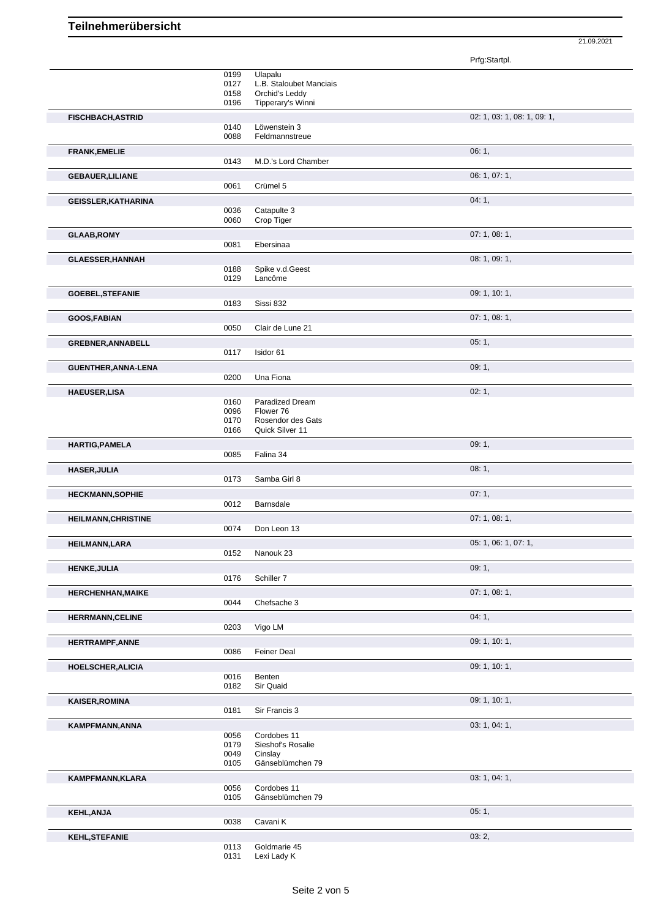Prfg:Startpl.

21.09.2021

|                            | 0199         | Ulapalu                          |                             |
|----------------------------|--------------|----------------------------------|-----------------------------|
|                            | 0127         | L.B. Staloubet Manciais          |                             |
|                            | 0158         | Orchid's Leddy                   |                             |
|                            | 0196         | Tipperary's Winni                |                             |
| <b>FISCHBACH, ASTRID</b>   |              |                                  | 02: 1, 03: 1, 08: 1, 09: 1, |
|                            | 0140         | Löwenstein 3                     |                             |
|                            | 0088         | Feldmannstreue                   |                             |
|                            |              |                                  |                             |
| <b>FRANK, EMELIE</b>       |              |                                  | 06:1,                       |
|                            | 0143         | M.D.'s Lord Chamber              |                             |
| <b>GEBAUER, LILIANE</b>    |              |                                  | 06: 1, 07: 1,               |
|                            | 0061         | Crümel 5                         |                             |
|                            |              |                                  | 04:1,                       |
| <b>GEISSLER, KATHARINA</b> | 0036         | Catapulte 3                      |                             |
|                            | 0060         | Crop Tiger                       |                             |
|                            |              |                                  |                             |
| <b>GLAAB, ROMY</b>         |              |                                  | 07: 1, 08: 1,               |
|                            | 0081         | Ebersinaa                        |                             |
| <b>GLAESSER, HANNAH</b>    |              |                                  | 08: 1, 09: 1,               |
|                            | 0188         | Spike v.d.Geest                  |                             |
|                            | 0129         | Lancôme                          |                             |
|                            |              |                                  |                             |
| <b>GOEBEL, STEFANIE</b>    |              |                                  | 09: 1, 10: 1,               |
|                            | 0183         | Sissi 832                        |                             |
| GOOS, FABIAN               |              |                                  | 07:1,08:1,                  |
|                            | 0050         | Clair de Lune 21                 |                             |
| <b>GREBNER, ANNABELL</b>   |              |                                  | 05:1,                       |
|                            | 0117         | Isidor 61                        |                             |
|                            |              |                                  |                             |
| <b>GUENTHER, ANNA-LENA</b> |              |                                  | 09:1,                       |
|                            | 0200         | Una Fiona                        |                             |
| <b>HAEUSER,LISA</b>        |              |                                  | 02:1,                       |
|                            | 0160         | Paradized Dream                  |                             |
|                            | 0096         | Flower 76                        |                             |
|                            | 0170         | Rosendor des Gats                |                             |
|                            | 0166         | Quick Silver 11                  |                             |
|                            |              |                                  | 09:1,                       |
| <b>HARTIG, PAMELA</b>      | 0085         | Falina 34                        |                             |
|                            |              |                                  |                             |
|                            |              |                                  | 08:1,                       |
| <b>HASER, JULIA</b>        |              |                                  |                             |
|                            | 0173         | Samba Girl 8                     |                             |
|                            |              |                                  |                             |
| <b>HECKMANN, SOPHIE</b>    |              |                                  | 07:1,                       |
|                            | 0012         | Barnsdale                        |                             |
| <b>HEILMANN, CHRISTINE</b> |              |                                  | 07: 1, 08: 1,               |
|                            | 0074         | Don Leon 13                      |                             |
|                            |              |                                  | 05: 1, 06: 1, 07: 1,        |
| <b>HEILMANN,LARA</b>       | 0152         | Nanouk 23                        |                             |
|                            |              |                                  |                             |
| <b>HENKE, JULIA</b>        |              |                                  | 09:1,                       |
|                            | 0176         | Schiller 7                       |                             |
| <b>HERCHENHAN, MAIKE</b>   |              |                                  | 07: 1, 08: 1,               |
|                            | 0044         | Chefsache 3                      |                             |
|                            |              |                                  |                             |
| <b>HERRMANN, CELINE</b>    |              |                                  | 04: 1,                      |
|                            | 0203         | Vigo LM                          |                             |
| <b>HERTRAMPF, ANNE</b>     |              |                                  | 09: 1, 10: 1,               |
|                            | 0086         | Feiner Deal                      |                             |
|                            |              |                                  |                             |
| HOELSCHER, ALICIA          |              |                                  | 09: 1, 10: 1,               |
|                            | 0016         | Benten                           |                             |
|                            | 0182         | Sir Quaid                        |                             |
| <b>KAISER, ROMINA</b>      |              |                                  | 09: 1, 10: 1,               |
|                            | 0181         | Sir Francis 3                    |                             |
|                            |              |                                  |                             |
| KAMPFMANN, ANNA            |              |                                  | 03: 1, 04: 1,               |
|                            | 0056<br>0179 | Cordobes 11<br>Sieshof's Rosalie |                             |
|                            | 0049         | Cinslay                          |                             |
|                            | 0105         | Gänseblümchen 79                 |                             |
|                            |              |                                  |                             |
| KAMPFMANN, KLARA           |              |                                  | 03: 1, 04: 1,               |
|                            | 0056         | Cordobes 11                      |                             |
|                            | 0105         | Gänseblümchen 79                 |                             |
| <b>KEHL, ANJA</b>          |              |                                  | 05:1,                       |
|                            | 0038         | Cavani K                         |                             |
|                            |              |                                  |                             |
| <b>KEHL, STEFANIE</b>      | 0113         | Goldmarie 45                     | 03:2,                       |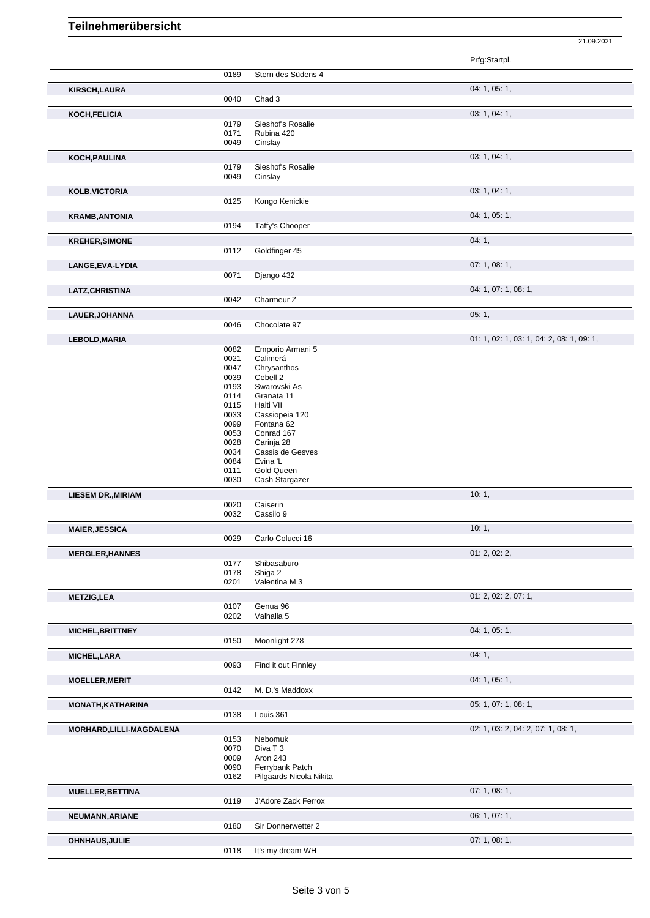|                           |              |                              | 21.09.2021                                |
|---------------------------|--------------|------------------------------|-------------------------------------------|
|                           |              |                              | Prfg:Startpl.                             |
|                           | 0189         | Stern des Südens 4           |                                           |
|                           |              |                              | 04: 1, 05: 1,                             |
| <b>KIRSCH,LAURA</b>       | 0040         | Chad 3                       |                                           |
| KOCH, FELICIA             |              |                              | 03: 1, 04: 1,                             |
|                           | 0179         | Sieshof's Rosalie            |                                           |
|                           | 0171         | Rubina 420                   |                                           |
|                           | 0049         | Cinslay                      |                                           |
| KOCH, PAULINA             |              |                              | 03: 1, 04: 1,                             |
|                           | 0179<br>0049 | Sieshof's Rosalie            |                                           |
|                           |              | Cinslay                      |                                           |
| <b>KOLB, VICTORIA</b>     | 0125         |                              | 03: 1, 04: 1,                             |
|                           |              | Kongo Kenickie               |                                           |
| <b>KRAMB, ANTONIA</b>     | 0194         | Taffy's Chooper              | 04: 1, 05: 1,                             |
|                           |              |                              |                                           |
| <b>KREHER, SIMONE</b>     | 0112         |                              | 04:1,                                     |
|                           |              | Goldfinger 45                |                                           |
| LANGE, EVA-LYDIA          |              |                              | 07: 1, 08: 1,                             |
|                           | 0071         | Django 432                   |                                           |
| <b>LATZ, CHRISTINA</b>    | 0042         | Charmeur Z                   | 04: 1, 07: 1, 08: 1,                      |
|                           |              |                              |                                           |
| LAUER, JOHANNA            | 0046         |                              | 05:1,                                     |
|                           |              | Chocolate 97                 |                                           |
| LEBOLD, MARIA             |              | Emporio Armani 5             | 01: 1, 02: 1, 03: 1, 04: 2, 08: 1, 09: 1, |
|                           | 0082<br>0021 | Calimerá                     |                                           |
|                           | 0047         | Chrysanthos                  |                                           |
|                           | 0039         | Cebell 2                     |                                           |
|                           | 0193         | Swarovski As                 |                                           |
|                           | 0114         | Granata 11                   |                                           |
|                           | 0115         | Haiti VII                    |                                           |
|                           | 0033<br>0099 | Cassiopeia 120<br>Fontana 62 |                                           |
|                           | 0053         | Conrad 167                   |                                           |
|                           | 0028         | Carinja 28                   |                                           |
|                           | 0034         | Cassis de Gesves             |                                           |
|                           | 0084         | Evina 'L                     |                                           |
|                           | 0111         | Gold Queen                   |                                           |
|                           | 0030         | Cash Stargazer               |                                           |
| <b>LIESEM DR., MIRIAM</b> |              |                              | 10:1,                                     |
|                           | 0020<br>0032 | Caiserin<br>Cassilo 9        |                                           |
|                           |              |                              |                                           |
| <b>MAIER, JESSICA</b>     | 0029         | Carlo Colucci 16             | 10:1,                                     |
|                           |              |                              |                                           |
| <b>MERGLER, HANNES</b>    | 0177         | Shibasaburo                  | 01: 2, 02: 2,                             |
|                           | 0178         | Shiga 2                      |                                           |
|                           | 0201         | Valentina M 3                |                                           |
| <b>METZIG,LEA</b>         |              |                              | 01: 2, 02: 2, 07: 1,                      |
|                           | 0107         | Genua 96                     |                                           |
|                           | 0202         | Valhalla 5                   |                                           |
| MICHEL, BRITTNEY          |              |                              | 04: 1, 05: 1,                             |
|                           | 0150         | Moonlight 278                |                                           |
| MICHEL, LARA              |              |                              | 04:1,                                     |
|                           | 0093         | Find it out Finnley          |                                           |
| <b>MOELLER, MERIT</b>     |              |                              | 04: 1, 05: 1,                             |
|                           | 0142         | M. D.'s Maddoxx              |                                           |
| MONATH, KATHARINA         |              |                              | 05: 1, 07: 1, 08: 1,                      |
|                           | 0138         | Louis 361                    |                                           |
| MORHARD, LILLI-MAGDALENA  | 0153         | Nebomuk                      | 02: 1, 03: 2, 04: 2, 07: 1, 08: 1,        |
|                           | 0070         | Diva T 3                     |                                           |
|                           | 0009         | Aron 243                     |                                           |
|                           | 0090         | Ferrybank Patch              |                                           |
|                           | 0162         | Pilgaards Nicola Nikita      |                                           |
| MUELLER, BETTINA          |              |                              | 07: 1, 08: 1,                             |
|                           | 0119         | J'Adore Zack Ferrox          |                                           |
| NEUMANN, ARIANE           |              |                              | 06: 1, 07: 1,                             |
|                           | 0180         | Sir Donnerwetter 2           |                                           |
| OHNHAUS, JULIE            |              |                              | 07: 1, 08: 1,                             |

0118 It's my dream WH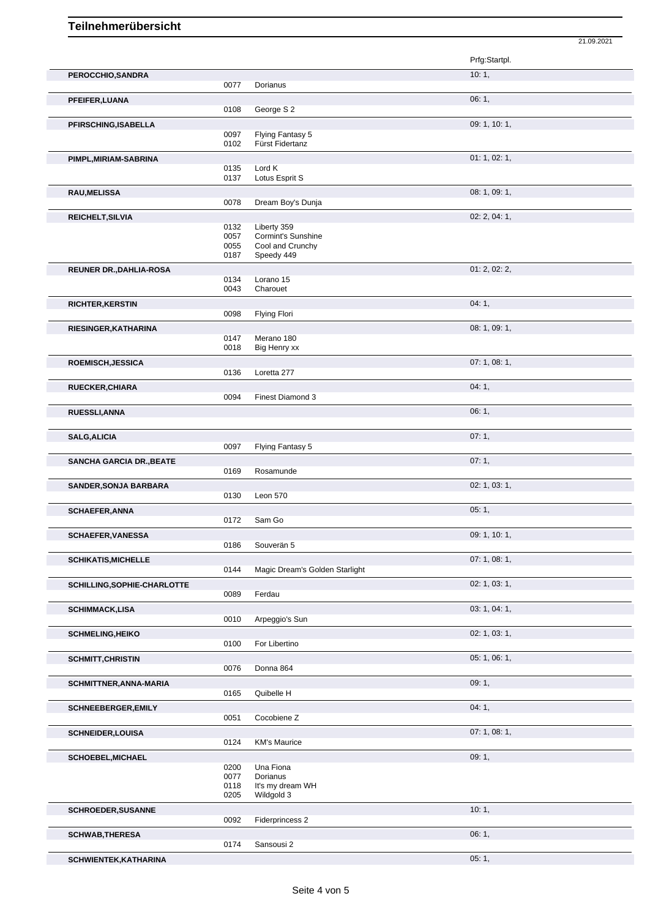|                                 |              |                                | Prfg:Startpl. |
|---------------------------------|--------------|--------------------------------|---------------|
| PEROCCHIO, SANDRA               |              |                                | 10:1,         |
|                                 | 0077         | Dorianus                       |               |
| PFEIFER, LUANA                  | 0108         | George S 2                     | 06:1,         |
| PFIRSCHING, ISABELLA            |              |                                | 09: 1, 10: 1, |
|                                 | 0097         | Flying Fantasy 5               |               |
|                                 | 0102         | Fürst Fidertanz                |               |
| PIMPL, MIRIAM-SABRINA           | 0135         | Lord K                         | 01: 1, 02: 1, |
|                                 | 0137         | Lotus Esprit S                 |               |
| RAU, MELISSA                    |              |                                | 08: 1, 09: 1, |
|                                 | 0078         | Dream Boy's Dunja              |               |
| REICHELT, SILVIA                | 0132         | Liberty 359                    | 02: 2, 04: 1, |
|                                 | 0057         | Cormint's Sunshine             |               |
|                                 | 0055<br>0187 | Cool and Crunchy<br>Speedy 449 |               |
| <b>REUNER DR., DAHLIA-ROSA</b>  |              |                                | 01: 2, 02: 2, |
|                                 | 0134         | Lorano 15                      |               |
|                                 | 0043         | Charouet                       |               |
| RICHTER, KERSTIN                | 0098         | <b>Flying Flori</b>            | 04:1,         |
| RIESINGER, KATHARINA            |              |                                | 08: 1, 09: 1, |
|                                 | 0147         | Merano 180                     |               |
| ROEMISCH, JESSICA               | 0018         | Big Henry xx                   | 07:1,08:1,    |
|                                 | 0136         | Loretta 277                    |               |
| <b>RUECKER, CHIARA</b>          |              |                                | 04:1,         |
|                                 | 0094         | <b>Finest Diamond 3</b>        |               |
| RUESSLI, ANNA                   |              |                                | 06:1,         |
| <b>SALG, ALICIA</b>             |              |                                | 07:1,         |
|                                 | 0097         | Flying Fantasy 5               |               |
| <b>SANCHA GARCIA DR., BEATE</b> |              |                                | 07:1,         |
|                                 | 0169         | Rosamunde                      | 02: 1, 03: 1, |
| <b>SANDER, SONJA BARBARA</b>    | 0130         | Leon 570                       |               |
| <b>SCHAEFER, ANNA</b>           |              |                                | 05:1,         |
|                                 | 0172         | Sam Go                         |               |
| <b>SCHAEFER, VANESSA</b>        | 0186         | Souverän 5                     | 09: 1, 10: 1, |
| <b>SCHIKATIS, MICHELLE</b>      |              |                                | 07: 1, 08: 1, |
|                                 | 0144         | Magic Dream's Golden Starlight |               |
| SCHILLING, SOPHIE-CHARLOTTE     |              |                                | 02: 1, 03: 1, |
|                                 | 0089         | Ferdau                         | 03: 1, 04: 1, |
| <b>SCHIMMACK,LISA</b>           | 0010         | Arpeggio's Sun                 |               |
| <b>SCHMELING, HEIKO</b>         |              |                                | 02: 1, 03: 1, |
|                                 | 0100         | For Libertino                  |               |
| <b>SCHMITT, CHRISTIN</b>        | 0076         | Donna 864                      | 05: 1, 06: 1, |
| SCHMITTNER, ANNA-MARIA          |              |                                | 09:1,         |
|                                 | 0165         | Quibelle H                     |               |
| <b>SCHNEEBERGER, EMILY</b>      |              |                                | 04:1,         |
|                                 | 0051         | Cocobiene Z                    |               |
| <b>SCHNEIDER, LOUISA</b>        | 0124         | <b>KM's Maurice</b>            | 07:1,08:1,    |
| SCHOEBEL, MICHAEL               |              |                                | 09:1,         |
|                                 | 0200         | Una Fiona                      |               |
|                                 | 0077<br>0118 | Dorianus<br>It's my dream WH   |               |
|                                 | 0205         | Wildgold 3                     |               |
| SCHROEDER, SUSANNE              | 0092         |                                | 10:1,         |
|                                 |              | Fiderprincess 2                | 06:1,         |
| <b>SCHWAB, THERESA</b>          | 0174         | Sansousi 2                     |               |

21.09.2021

Sansousi 2 **SCHWIENTEK,KATHARINA** 05: 1,